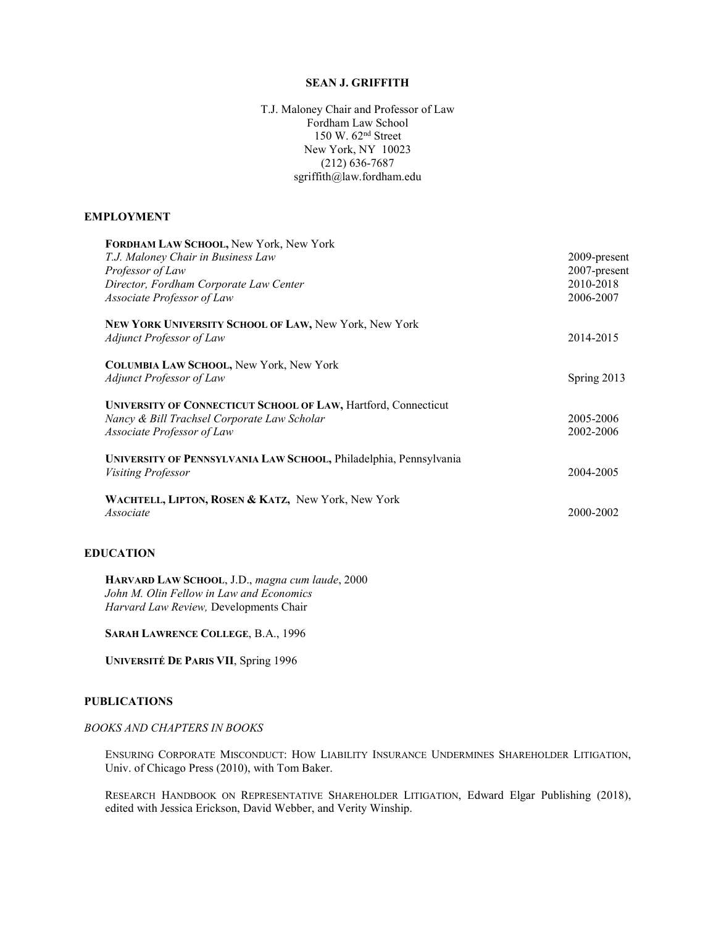#### SEAN J. GRIFFITH

T.J. Maloney Chair and Professor of Law Fordham Law School 150 W. 62nd Street New York, NY 10023 (212) 636-7687 sgriffith@law.fordham.edu

#### EMPLOYMENT

| FORDHAM LAW SCHOOL, New York, New York<br>T.J. Maloney Chair in Business Law<br>Professor of Law<br>Director, Fordham Corporate Law Center<br>Associate Professor of Law | 2009-present<br>2007-present<br>2010-2018<br>2006-2007 |
|--------------------------------------------------------------------------------------------------------------------------------------------------------------------------|--------------------------------------------------------|
| NEW YORK UNIVERSITY SCHOOL OF LAW, New York, New York<br>Adjunct Professor of Law                                                                                        | 2014-2015                                              |
| <b>COLUMBIA LAW SCHOOL, New York, New York</b><br><b>Adjunct Professor of Law</b>                                                                                        | Spring 2013                                            |
| UNIVERSITY OF CONNECTICUT SCHOOL OF LAW, Hartford, Connecticut<br>Nancy & Bill Trachsel Corporate Law Scholar<br>Associate Professor of Law                              | 2005-2006<br>2002-2006                                 |
| UNIVERSITY OF PENNSYLVANIA LAW SCHOOL, Philadelphia, Pennsylvania<br><i>Visiting Professor</i>                                                                           | 2004-2005                                              |
| WACHTELL, LIPTON, ROSEN & KATZ, New York, New York<br>Associate                                                                                                          | 2000-2002                                              |

# EDUCATION

HARVARD LAW SCHOOL, J.D., magna cum laude, 2000 John M. Olin Fellow in Law and Economics Harvard Law Review, Developments Chair

SARAH LAWRENCE COLLEGE, B.A., 1996

UNIVERSITÉ DE PARIS VII, Spring 1996

# PUBLICATIONS

# BOOKS AND CHAPTERS IN BOOKS

ENSURING CORPORATE MISCONDUCT: HOW LIABILITY INSURANCE UNDERMINES SHAREHOLDER LITIGATION, Univ. of Chicago Press (2010), with Tom Baker.

RESEARCH HANDBOOK ON REPRESENTATIVE SHAREHOLDER LITIGATION, Edward Elgar Publishing (2018), edited with Jessica Erickson, David Webber, and Verity Winship.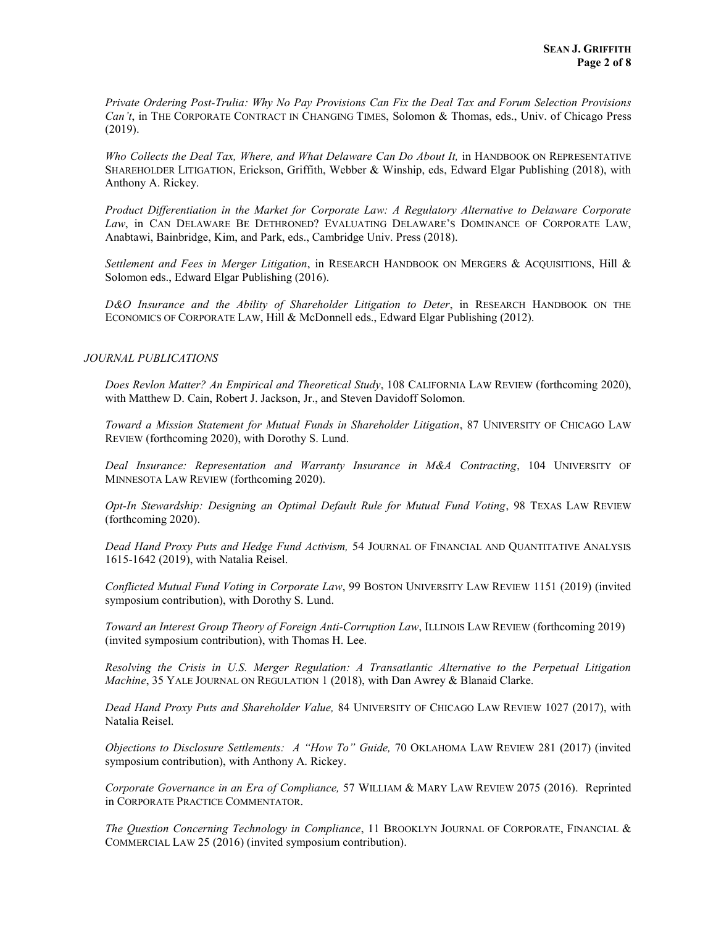Private Ordering Post-Trulia: Why No Pay Provisions Can Fix the Deal Tax and Forum Selection Provisions Can't, in THE CORPORATE CONTRACT IN CHANGING TIMES, Solomon & Thomas, eds., Univ. of Chicago Press (2019).

Who Collects the Deal Tax, Where, and What Delaware Can Do About It, in HANDBOOK ON REPRESENTATIVE SHAREHOLDER LITIGATION, Erickson, Griffith, Webber & Winship, eds, Edward Elgar Publishing (2018), with Anthony A. Rickey.

Product Differentiation in the Market for Corporate Law: A Regulatory Alternative to Delaware Corporate Law, in CAN DELAWARE BE DETHRONED? EVALUATING DELAWARE'S DOMINANCE OF CORPORATE LAW, Anabtawi, Bainbridge, Kim, and Park, eds., Cambridge Univ. Press (2018).

Settlement and Fees in Merger Litigation, in RESEARCH HANDBOOK ON MERGERS & ACQUISITIONS, Hill & Solomon eds., Edward Elgar Publishing (2016).

D&O Insurance and the Ability of Shareholder Litigation to Deter, in RESEARCH HANDBOOK ON THE ECONOMICS OF CORPORATE LAW, Hill & McDonnell eds., Edward Elgar Publishing (2012).

#### JOURNAL PUBLICATIONS

Does Revlon Matter? An Empirical and Theoretical Study, 108 CALIFORNIA LAW REVIEW (forthcoming 2020), with Matthew D. Cain, Robert J. Jackson, Jr., and Steven Davidoff Solomon.

Toward a Mission Statement for Mutual Funds in Shareholder Litigation, 87 UNIVERSITY OF CHICAGO LAW REVIEW (forthcoming 2020), with Dorothy S. Lund.

Deal Insurance: Representation and Warranty Insurance in M&A Contracting, 104 UNIVERSITY OF MINNESOTA LAW REVIEW (forthcoming 2020).

Opt-In Stewardship: Designing an Optimal Default Rule for Mutual Fund Voting, 98 TEXAS LAW REVIEW (forthcoming 2020).

Dead Hand Proxy Puts and Hedge Fund Activism, 54 JOURNAL OF FINANCIAL AND QUANTITATIVE ANALYSIS 1615-1642 (2019), with Natalia Reisel.

Conflicted Mutual Fund Voting in Corporate Law, 99 BOSTON UNIVERSITY LAW REVIEW 1151 (2019) (invited symposium contribution), with Dorothy S. Lund.

Toward an Interest Group Theory of Foreign Anti-Corruption Law, ILLINOIS LAW REVIEW (forthcoming 2019) (invited symposium contribution), with Thomas H. Lee.

Resolving the Crisis in U.S. Merger Regulation: A Transatlantic Alternative to the Perpetual Litigation Machine, 35 YALE JOURNAL ON REGULATION 1 (2018), with Dan Awrey & Blanaid Clarke.

Dead Hand Proxy Puts and Shareholder Value, 84 UNIVERSITY OF CHICAGO LAW REVIEW 1027 (2017), with Natalia Reisel.

Objections to Disclosure Settlements: A "How To" Guide, 70 OKLAHOMA LAW REVIEW 281 (2017) (invited symposium contribution), with Anthony A. Rickey.

Corporate Governance in an Era of Compliance, 57 WILLIAM & MARY LAW REVIEW 2075 (2016). Reprinted in CORPORATE PRACTICE COMMENTATOR.

The Question Concerning Technology in Compliance, 11 BROOKLYN JOURNAL OF CORPORATE, FINANCIAL & COMMERCIAL LAW 25 (2016) (invited symposium contribution).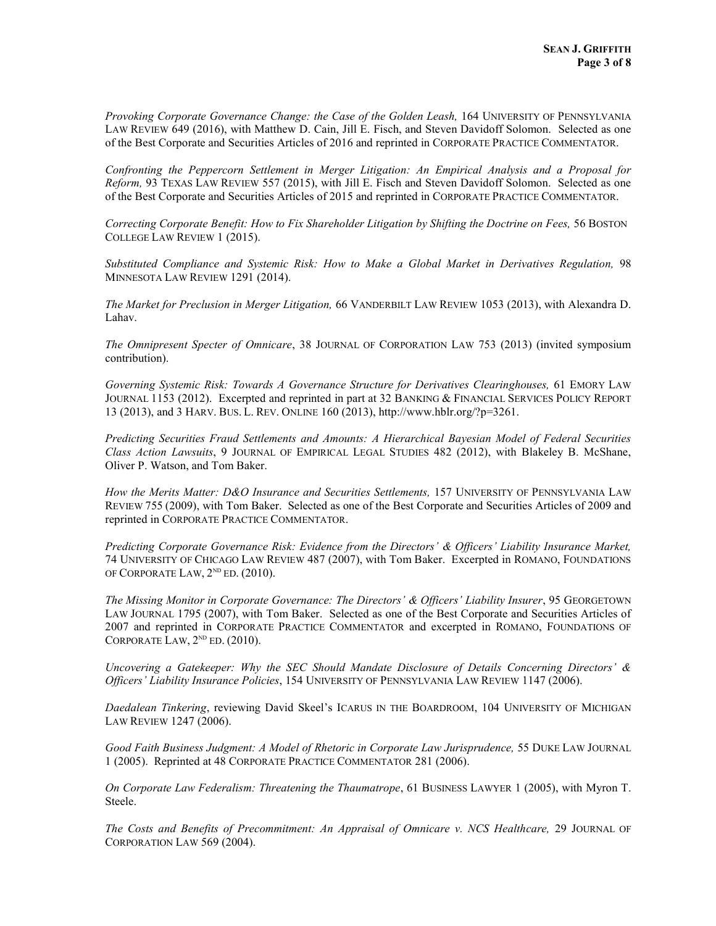Provoking Corporate Governance Change: the Case of the Golden Leash, 164 UNIVERSITY OF PENNSYLVANIA LAW REVIEW 649 (2016), with Matthew D. Cain, Jill E. Fisch, and Steven Davidoff Solomon. Selected as one of the Best Corporate and Securities Articles of 2016 and reprinted in CORPORATE PRACTICE COMMENTATOR.

Confronting the Peppercorn Settlement in Merger Litigation: An Empirical Analysis and a Proposal for Reform, 93 TEXAS LAW REVIEW 557 (2015), with Jill E. Fisch and Steven Davidoff Solomon. Selected as one of the Best Corporate and Securities Articles of 2015 and reprinted in CORPORATE PRACTICE COMMENTATOR.

Correcting Corporate Benefit: How to Fix Shareholder Litigation by Shifting the Doctrine on Fees, 56 BOSTON COLLEGE LAW REVIEW 1 (2015).

Substituted Compliance and Systemic Risk: How to Make a Global Market in Derivatives Regulation, 98 MINNESOTA LAW REVIEW 1291 (2014).

The Market for Preclusion in Merger Litigation, 66 VANDERBILT LAW REVIEW 1053 (2013), with Alexandra D. Lahav.

The Omnipresent Specter of Omnicare, 38 JOURNAL OF CORPORATION LAW 753 (2013) (invited symposium contribution).

Governing Systemic Risk: Towards A Governance Structure for Derivatives Clearinghouses, 61 EMORY LAW JOURNAL 1153 (2012). Excerpted and reprinted in part at 32 BANKING & FINANCIAL SERVICES POLICY REPORT 13 (2013), and 3 HARV. BUS. L. REV. ONLINE 160 (2013), http://www.hblr.org/?p=3261.

Predicting Securities Fraud Settlements and Amounts: A Hierarchical Bayesian Model of Federal Securities Class Action Lawsuits, 9 JOURNAL OF EMPIRICAL LEGAL STUDIES 482 (2012), with Blakeley B. McShane, Oliver P. Watson, and Tom Baker.

How the Merits Matter: D&O Insurance and Securities Settlements, 157 UNIVERSITY OF PENNSYLVANIA LAW REVIEW 755 (2009), with Tom Baker. Selected as one of the Best Corporate and Securities Articles of 2009 and reprinted in CORPORATE PRACTICE COMMENTATOR.

Predicting Corporate Governance Risk: Evidence from the Directors' & Officers' Liability Insurance Market, 74 UNIVERSITY OF CHICAGO LAW REVIEW 487 (2007), with Tom Baker. Excerpted in ROMANO, FOUNDATIONS OF CORPORATE LAW, 2<sup>nd</sup> ED. (2010).

The Missing Monitor in Corporate Governance: The Directors' & Officers' Liability Insurer, 95 GEORGETOWN LAW JOURNAL 1795 (2007), with Tom Baker. Selected as one of the Best Corporate and Securities Articles of 2007 and reprinted in CORPORATE PRACTICE COMMENTATOR and excerpted in ROMANO, FOUNDATIONS OF CORPORATE LAW,  $2^{ND}$  ED.  $(2010)$ .

Uncovering a Gatekeeper: Why the SEC Should Mandate Disclosure of Details Concerning Directors' & Officers' Liability Insurance Policies, 154 UNIVERSITY OF PENNSYLVANIA LAW REVIEW 1147 (2006).

Daedalean Tinkering, reviewing David Skeel's ICARUS IN THE BOARDROOM, 104 UNIVERSITY OF MICHIGAN LAW REVIEW 1247 (2006).

Good Faith Business Judgment: A Model of Rhetoric in Corporate Law Jurisprudence, 55 DUKE LAW JOURNAL 1 (2005). Reprinted at 48 CORPORATE PRACTICE COMMENTATOR 281 (2006).

On Corporate Law Federalism: Threatening the Thaumatrope, 61 BUSINESS LAWYER 1 (2005), with Myron T. Steele.

The Costs and Benefits of Precommitment: An Appraisal of Omnicare v. NCS Healthcare, 29 JOURNAL OF CORPORATION LAW 569 (2004).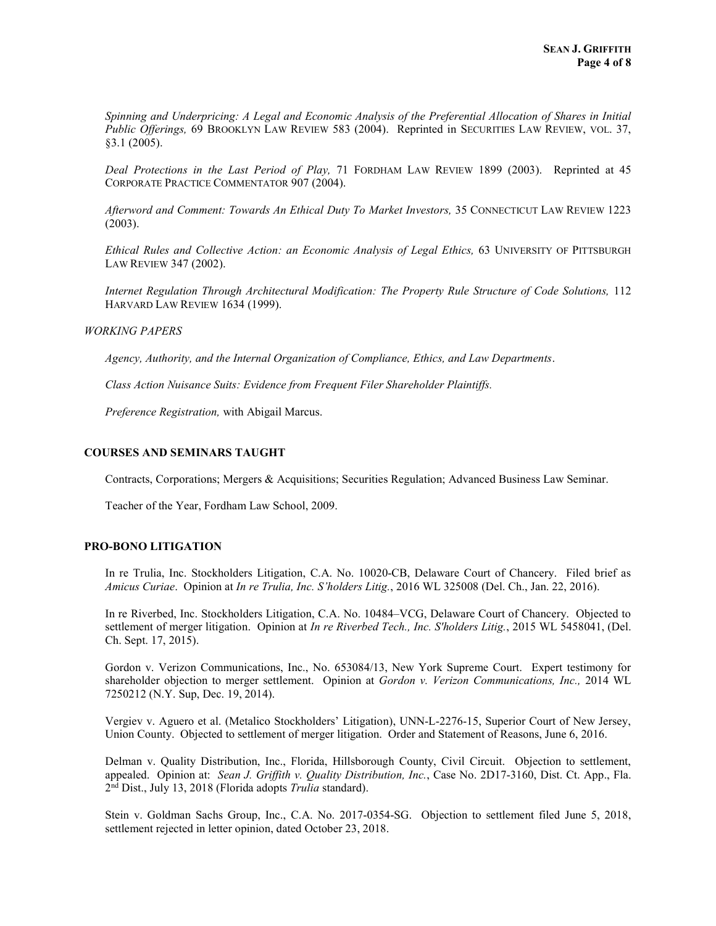Spinning and Underpricing: A Legal and Economic Analysis of the Preferential Allocation of Shares in Initial Public Offerings, 69 BROOKLYN LAW REVIEW 583 (2004). Reprinted in SECURITIES LAW REVIEW, VOL. 37, §3.1 (2005).

Deal Protections in the Last Period of Play, 71 FORDHAM LAW REVIEW 1899 (2003). Reprinted at 45 CORPORATE PRACTICE COMMENTATOR 907 (2004).

Afterword and Comment: Towards An Ethical Duty To Market Investors, 35 CONNECTICUT LAW REVIEW 1223 (2003).

Ethical Rules and Collective Action: an Economic Analysis of Legal Ethics, 63 UNIVERSITY OF PITTSBURGH LAW REVIEW 347 (2002).

Internet Regulation Through Architectural Modification: The Property Rule Structure of Code Solutions, 112 HARVARD LAW REVIEW 1634 (1999).

#### WORKING PAPERS

Agency, Authority, and the Internal Organization of Compliance, Ethics, and Law Departments.

Class Action Nuisance Suits: Evidence from Frequent Filer Shareholder Plaintiffs.

Preference Registration, with Abigail Marcus.

### COURSES AND SEMINARS TAUGHT

Contracts, Corporations; Mergers & Acquisitions; Securities Regulation; Advanced Business Law Seminar.

Teacher of the Year, Fordham Law School, 2009.

## PRO-BONO LITIGATION

In re Trulia, Inc. Stockholders Litigation, C.A. No. 10020-CB, Delaware Court of Chancery. Filed brief as Amicus Curiae. Opinion at In re Trulia, Inc. S'holders Litig., 2016 WL 325008 (Del. Ch., Jan. 22, 2016).

In re Riverbed, Inc. Stockholders Litigation, C.A. No. 10484–VCG, Delaware Court of Chancery. Objected to settlement of merger litigation. Opinion at In re Riverbed Tech., Inc. S'holders Litig., 2015 WL 5458041, (Del. Ch. Sept. 17, 2015).

Gordon v. Verizon Communications, Inc., No. 653084/13, New York Supreme Court. Expert testimony for shareholder objection to merger settlement. Opinion at Gordon v. Verizon Communications, Inc., 2014 WL 7250212 (N.Y. Sup, Dec. 19, 2014).

Vergiev v. Aguero et al. (Metalico Stockholders' Litigation), UNN-L-2276-15, Superior Court of New Jersey, Union County. Objected to settlement of merger litigation. Order and Statement of Reasons, June 6, 2016.

Delman v. Quality Distribution, Inc., Florida, Hillsborough County, Civil Circuit. Objection to settlement, appealed. Opinion at: Sean J. Griffith v. Quality Distribution, Inc., Case No. 2D17-3160, Dist. Ct. App., Fla. 2<sup>nd</sup> Dist., July 13, 2018 (Florida adopts Trulia standard).

Stein v. Goldman Sachs Group, Inc., C.A. No. 2017-0354-SG. Objection to settlement filed June 5, 2018, settlement rejected in letter opinion, dated October 23, 2018.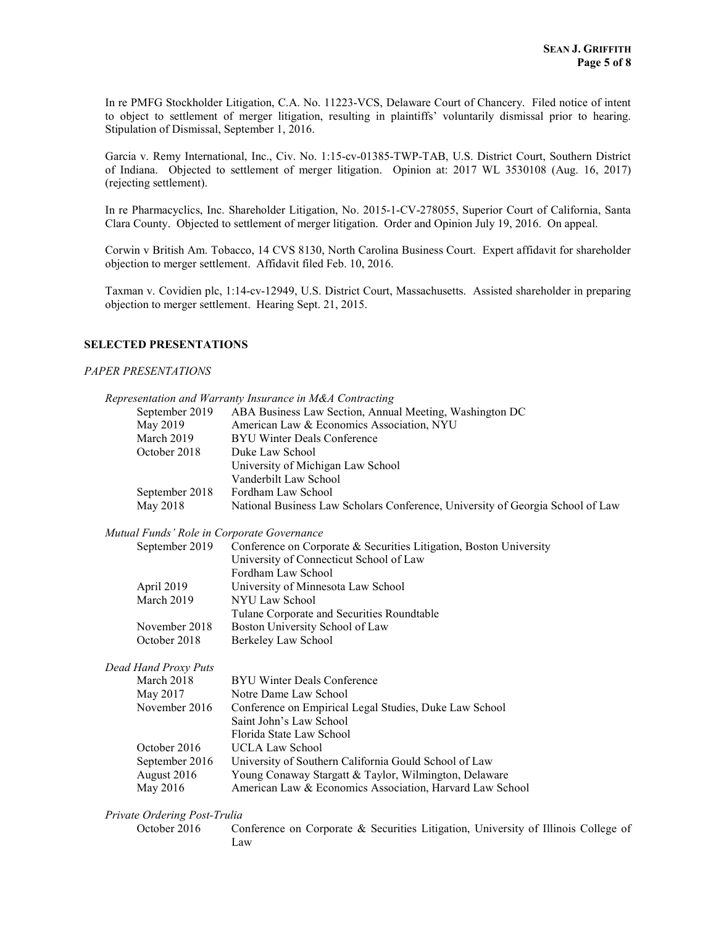In re PMFG Stockholder Litigation, C.A. No. 11223-VCS, Delaware Court of Chancery. Filed notice of intent to object to settlement of merger litigation, resulting in plaintiffs' voluntarily dismissal prior to hearing. Stipulation of Dismissal, September 1, 2016.

Garcia v. Remy International, Inc., Civ. No. 1:15-cv-01385-TWP-TAB, U.S. District Court, Southern District of Indiana. Objected to settlement of merger litigation. Opinion at: 2017 WL 3530108 (Aug. 16, 2017) (rejecting settlement).

In re Pharmacyclics, Inc. Shareholder Litigation, No. 2015-1-CV-278055, Superior Court of California, Santa Clara County. Objected to settlement of merger litigation. Order and Opinion July 19, 2016. On appeal.

Corwin v British Am. Tobacco, 14 CVS 8130, North Carolina Business Court. Expert affidavit for shareholder objection to merger settlement. Affidavit filed Feb. 10, 2016.

Taxman v. Covidien plc, 1:14-cv-12949, U.S. District Court, Massachusetts. Assisted shareholder in preparing objection to merger settlement. Hearing Sept. 21, 2015.

### SELECTED PRESENTATIONS

#### PAPER PRESENTATIONS

|                                            | Representation and Warranty Insurance in M&A Contracting                       |
|--------------------------------------------|--------------------------------------------------------------------------------|
| September 2019                             | ABA Business Law Section, Annual Meeting, Washington DC                        |
| May 2019                                   | American Law & Economics Association, NYU                                      |
| March 2019                                 | <b>BYU Winter Deals Conference</b>                                             |
| October 2018                               | Duke Law School                                                                |
|                                            | University of Michigan Law School                                              |
|                                            | Vanderbilt Law School                                                          |
| September 2018                             | Fordham Law School                                                             |
| May 2018                                   | National Business Law Scholars Conference, University of Georgia School of Law |
| Mutual Funds' Role in Corporate Governance |                                                                                |
| September 2019                             | Conference on Corporate & Securities Litigation, Boston University             |
|                                            | University of Connecticut School of Law                                        |
|                                            | Fordham Law School                                                             |
| April 2019                                 | University of Minnesota Law School                                             |
| March 2019                                 | NYU Law School                                                                 |
|                                            | Tulane Corporate and Securities Roundtable                                     |
| November 2018                              | Boston University School of Law                                                |
| October 2018                               | Berkeley Law School                                                            |
| Dead Hand Proxy Puts                       |                                                                                |
| March 2018                                 | <b>BYU Winter Deals Conference</b>                                             |
| May 2017                                   | Notre Dame Law School                                                          |
| November 2016                              | Conference on Empirical Legal Studies, Duke Law School                         |
|                                            | Saint John's Law School                                                        |
|                                            | Florida State Law School                                                       |
| October 2016                               | <b>UCLA Law School</b>                                                         |
| September 2016                             | University of Southern California Gould School of Law                          |
| August 2016                                | Young Conaway Stargatt & Taylor, Wilmington, Delaware                          |
| May 2016                                   | American Law & Economics Association, Harvard Law School                       |

October 2016 Conference on Corporate & Securities Litigation, University of Illinois College of Law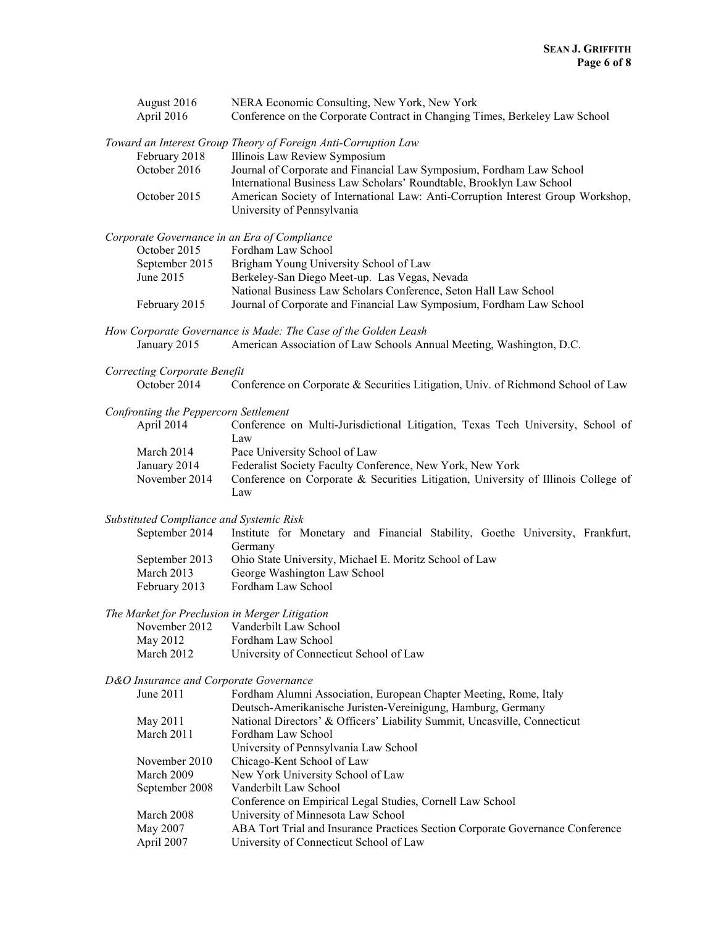| August 2016<br>April 2016                                       | NERA Economic Consulting, New York, New York<br>Conference on the Corporate Contract in Changing Times, Berkeley Law School |
|-----------------------------------------------------------------|-----------------------------------------------------------------------------------------------------------------------------|
|                                                                 | Toward an Interest Group Theory of Foreign Anti-Corruption Law                                                              |
| February 2018<br>October 2016                                   | Illinois Law Review Symposium<br>Journal of Corporate and Financial Law Symposium, Fordham Law School                       |
|                                                                 | International Business Law Scholars' Roundtable, Brooklyn Law School                                                        |
| October 2015                                                    | American Society of International Law: Anti-Corruption Interest Group Workshop,<br>University of Pennsylvania               |
| Corporate Governance in an Era of Compliance                    |                                                                                                                             |
| October 2015                                                    | Fordham Law School                                                                                                          |
| September 2015<br>June 2015                                     | Brigham Young University School of Law<br>Berkeley-San Diego Meet-up. Las Vegas, Nevada                                     |
|                                                                 | National Business Law Scholars Conference, Seton Hall Law School                                                            |
| February 2015                                                   | Journal of Corporate and Financial Law Symposium, Fordham Law School                                                        |
|                                                                 | How Corporate Governance is Made: The Case of the Golden Leash                                                              |
| January 2015                                                    | American Association of Law Schools Annual Meeting, Washington, D.C.                                                        |
| Correcting Corporate Benefit                                    |                                                                                                                             |
| October 2014                                                    | Conference on Corporate & Securities Litigation, Univ. of Richmond School of Law                                            |
| Confronting the Peppercorn Settlement                           |                                                                                                                             |
| April 2014                                                      | Conference on Multi-Jurisdictional Litigation, Texas Tech University, School of<br>Law                                      |
| March 2014                                                      | Pace University School of Law                                                                                               |
| January 2014                                                    | Federalist Society Faculty Conference, New York, New York                                                                   |
| November 2014                                                   | Conference on Corporate & Securities Litigation, University of Illinois College of<br>Law                                   |
| Substituted Compliance and Systemic Risk                        |                                                                                                                             |
| September 2014                                                  | Institute for Monetary and Financial Stability, Goethe University, Frankfurt,<br>Germany                                    |
| September 2013                                                  | Ohio State University, Michael E. Moritz School of Law                                                                      |
| March 2013<br>February 2013                                     | George Washington Law School<br>Fordham Law School                                                                          |
|                                                                 |                                                                                                                             |
| The Market for Preclusion in Merger Litigation<br>November 2012 | Vanderbilt Law School                                                                                                       |
| May 2012                                                        | Fordham Law School                                                                                                          |
| March 2012                                                      | University of Connecticut School of Law                                                                                     |
| D&O Insurance and Corporate Governance                          |                                                                                                                             |
| June 2011                                                       | Fordham Alumni Association, European Chapter Meeting, Rome, Italy                                                           |
|                                                                 | Deutsch-Amerikanische Juristen-Vereinigung, Hamburg, Germany                                                                |
| May 2011                                                        | National Directors' & Officers' Liability Summit, Uncasville, Connecticut                                                   |
| March 2011                                                      | Fordham Law School                                                                                                          |
|                                                                 | University of Pennsylvania Law School                                                                                       |
| November 2010<br>March 2009                                     | Chicago-Kent School of Law<br>New York University School of Law                                                             |
| September 2008                                                  | Vanderbilt Law School                                                                                                       |
|                                                                 | Conference on Empirical Legal Studies, Cornell Law School                                                                   |
| March 2008                                                      | University of Minnesota Law School                                                                                          |
| May 2007                                                        | ABA Tort Trial and Insurance Practices Section Corporate Governance Conference                                              |
| April 2007                                                      | University of Connecticut School of Law                                                                                     |
|                                                                 |                                                                                                                             |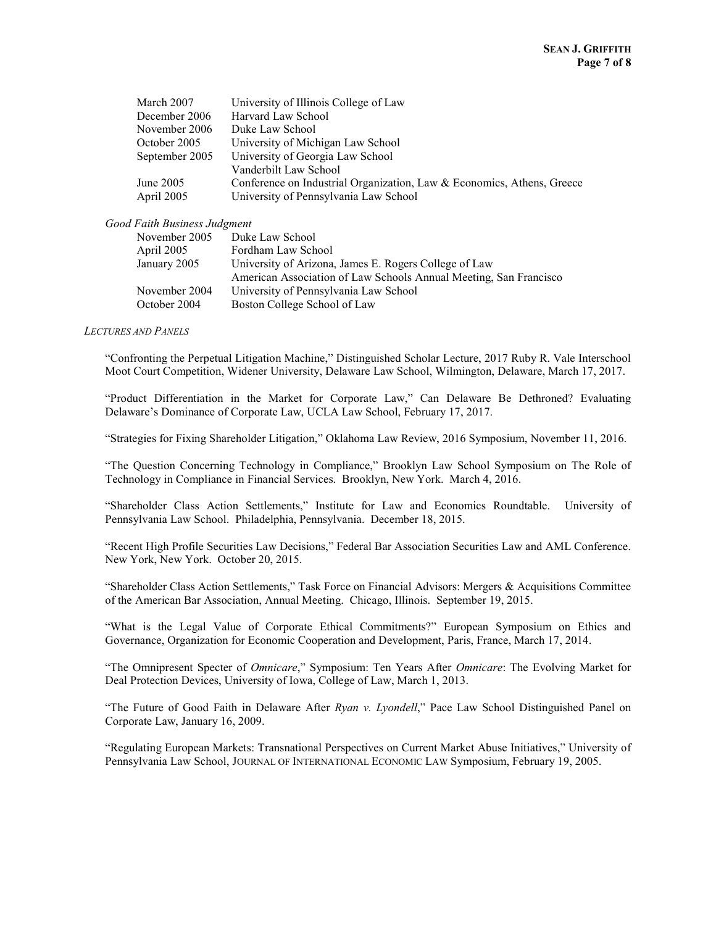| March 2007     | University of Illinois College of Law                                  |
|----------------|------------------------------------------------------------------------|
| December 2006  | Harvard Law School                                                     |
| November 2006  | Duke Law School                                                        |
| October 2005   | University of Michigan Law School                                      |
| September 2005 | University of Georgia Law School                                       |
|                | Vanderbilt Law School                                                  |
| June 2005      | Conference on Industrial Organization, Law & Economics, Athens, Greece |
| April 2005     | University of Pennsylvania Law School                                  |

#### Good Faith Business Judgment

| November 2005 | Duke Law School                                                   |
|---------------|-------------------------------------------------------------------|
| April 2005    | Fordham Law School                                                |
| January 2005  | University of Arizona, James E. Rogers College of Law             |
|               | American Association of Law Schools Annual Meeting, San Francisco |
| November 2004 | University of Pennsylvania Law School                             |
| October 2004  | Boston College School of Law                                      |
|               |                                                                   |

#### LECTURES AND PANELS

"Confronting the Perpetual Litigation Machine," Distinguished Scholar Lecture, 2017 Ruby R. Vale Interschool Moot Court Competition, Widener University, Delaware Law School, Wilmington, Delaware, March 17, 2017.

"Product Differentiation in the Market for Corporate Law," Can Delaware Be Dethroned? Evaluating Delaware's Dominance of Corporate Law, UCLA Law School, February 17, 2017.

"Strategies for Fixing Shareholder Litigation," Oklahoma Law Review, 2016 Symposium, November 11, 2016.

"The Question Concerning Technology in Compliance," Brooklyn Law School Symposium on The Role of Technology in Compliance in Financial Services. Brooklyn, New York. March 4, 2016.

"Shareholder Class Action Settlements," Institute for Law and Economics Roundtable. University of Pennsylvania Law School. Philadelphia, Pennsylvania. December 18, 2015.

"Recent High Profile Securities Law Decisions," Federal Bar Association Securities Law and AML Conference. New York, New York. October 20, 2015.

"Shareholder Class Action Settlements," Task Force on Financial Advisors: Mergers & Acquisitions Committee of the American Bar Association, Annual Meeting. Chicago, Illinois. September 19, 2015.

"What is the Legal Value of Corporate Ethical Commitments?" European Symposium on Ethics and Governance, Organization for Economic Cooperation and Development, Paris, France, March 17, 2014.

"The Omnipresent Specter of Omnicare," Symposium: Ten Years After Omnicare: The Evolving Market for Deal Protection Devices, University of Iowa, College of Law, March 1, 2013.

"The Future of Good Faith in Delaware After Ryan v. Lyondell," Pace Law School Distinguished Panel on Corporate Law, January 16, 2009.

"Regulating European Markets: Transnational Perspectives on Current Market Abuse Initiatives," University of Pennsylvania Law School, JOURNAL OF INTERNATIONAL ECONOMIC LAW Symposium, February 19, 2005.